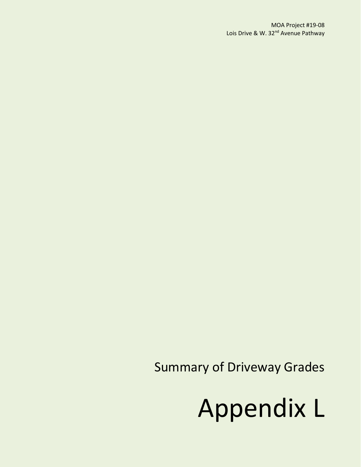Summary of Driveway Grades